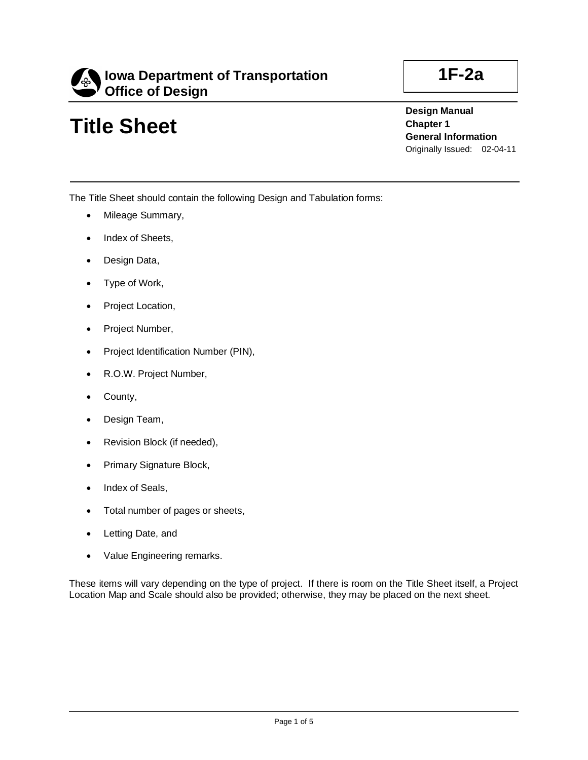

## **Title Sheet**

**1F-2a**

**Design Manual Chapter 1 General Information** Originally Issued: 02-04-11

The Title Sheet should contain the following Design and Tabulation forms:

- Mileage Summary,
- Index of Sheets,
- Design Data,
- Type of Work,
- Project Location,
- Project Number,
- Project Identification Number (PIN),
- R.O.W. Project Number,
- County,
- Design Team,
- Revision Block (if needed),
- Primary Signature Block,
- Index of Seals,
- Total number of pages or sheets,
- Letting Date, and
- Value Engineering remarks.

These items will vary depending on the type of project. If there is room on the Title Sheet itself, a Project Location Map and Scale should also be provided; otherwise, they may be placed on the next sheet.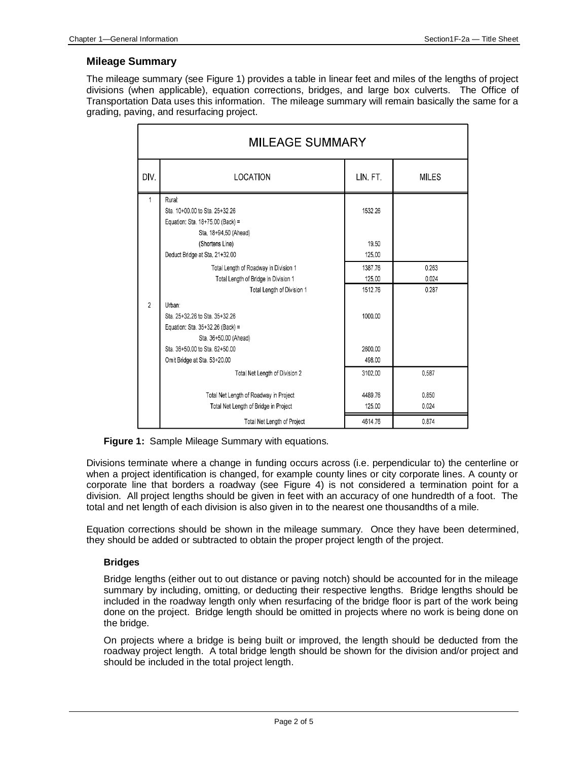#### **Mileage Summary**

The mileage summary (see Figure 1) provides a table in linear feet and miles of the lengths of project divisions (when applicable), equation corrections, bridges, and large box culverts. The Office of Transportation Data uses this information. The mileage summary will remain basically the same for a grading, paving, and resurfacing project.

| <b>MILEAGE SUMMARY</b> |                                        |          |              |  |
|------------------------|----------------------------------------|----------|--------------|--|
| DIV.                   | LOCATION                               | LIN. FT. | <b>MILES</b> |  |
|                        | Rural:                                 |          |              |  |
|                        | Sta. 10+00.00 to Sta. 25+32.26         | 1532.26  |              |  |
|                        | Equation: Sta. 18+75.00 (Back) =       |          |              |  |
|                        | Sta. 18+94 50 (Ahead)                  |          |              |  |
|                        | (Shortens Line)                        | 19.50    |              |  |
|                        | Deduct Bridge at Sta. 21+32.00         | 125.00   |              |  |
|                        | Total Length of Roadway in Division 1  | 1387 76  | 0.263        |  |
|                        | Total Length of Bridge in Division 1   | 125.00   | 0.024        |  |
|                        | Total Length of Division 1             | 1512.76  | 0.287        |  |
| $\overline{2}$         | Urban:                                 |          |              |  |
|                        | Sta. 25+32.26 to Sta. 35+32.26         | 1000.00  |              |  |
|                        | Equation: Sta. 35+32.26 (Back) =       |          |              |  |
|                        | Sta. 36+50.00 (Ahead)                  |          |              |  |
|                        | Sta. 36+50.00 to Sta. 62+50.00         | 2600.00  |              |  |
|                        | Omit Bridge at Sta. 53+20.00           | 498.00   |              |  |
|                        | Total Net Length of Division 2         | 3102.00  | 0.587        |  |
|                        |                                        |          |              |  |
|                        | Total Net Length of Roadway in Project | 4489.76  | 0.850        |  |
|                        | Total Net Length of Bridge in Project  | 125.00   | 0.024        |  |
|                        | Total Net Length of Project            | 4614.76  | 0.874        |  |

**Figure 1:** Sample Mileage Summary with equations.

Divisions terminate where a change in funding occurs across (i.e. perpendicular to) the centerline or when a project identification is changed, for example county lines or city corporate lines. A county or corporate line that borders a roadway (see Figure 4) is not considered a termination point for a division. All project lengths should be given in feet with an accuracy of one hundredth of a foot. The total and net length of each division is also given in to the nearest one thousandths of a mile.

Equation corrections should be shown in the mileage summary. Once they have been determined, they should be added or subtracted to obtain the proper project length of the project.

#### **Bridges**

Bridge lengths (either out to out distance or paving notch) should be accounted for in the mileage summary by including, omitting, or deducting their respective lengths. Bridge lengths should be included in the roadway length only when resurfacing of the bridge floor is part of the work being done on the project. Bridge length should be omitted in projects where no work is being done on the bridge.

On projects where a bridge is being built or improved, the length should be deducted from the roadway project length. A total bridge length should be shown for the division and/or project and should be included in the total project length.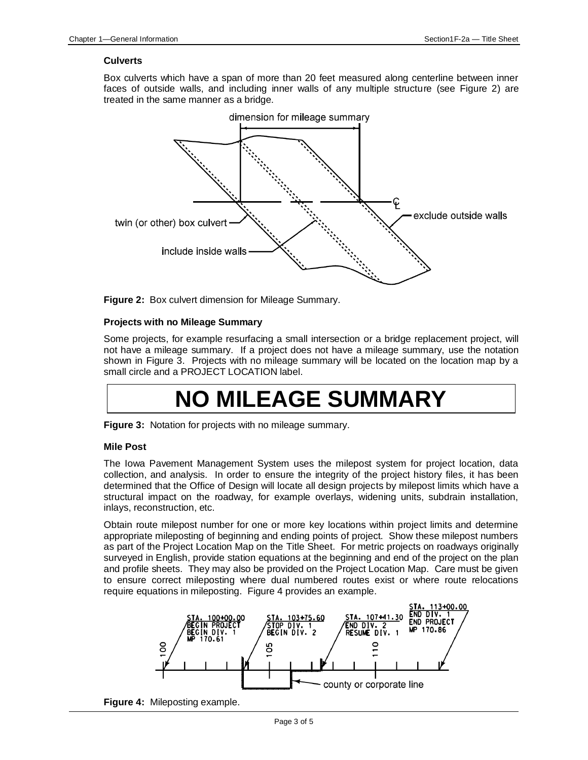#### **Culverts**

Box culverts which have a span of more than 20 feet measured along centerline between inner faces of outside walls, and including inner walls of any multiple structure (see Figure 2) are treated in the same manner as a bridge.



**Figure 2:** Box culvert dimension for Mileage Summary.

#### **Projects with no Mileage Summary**

Some projects, for example resurfacing a small intersection or a bridge replacement project, will not have a mileage summary. If a project does not have a mileage summary, use the notation shown in Figure 3. Projects with no mileage summary will be located on the location map by a small circle and a PROJECT LOCATION label.

# **NO MILEAGE SUMMARY**

**Figure 3:** Notation for projects with no mileage summary.

#### **Mile Post**

The Iowa Pavement Management System uses the milepost system for project location, data collection, and analysis. In order to ensure the integrity of the project history files, it has been determined that the Office of Design will locate all design projects by milepost limits which have a structural impact on the roadway, for example overlays, widening units, subdrain installation, inlays, reconstruction, etc.

Obtain route milepost number for one or more key locations within project limits and determine appropriate mileposting of beginning and ending points of project. Show these milepost numbers as part of the Project Location Map on the Title Sheet. For metric projects on roadways originally surveyed in English, provide station equations at the beginning and end of the project on the plan and profile sheets. They may also be provided on the Project Location Map. Care must be given to ensure correct mileposting where dual numbered routes exist or where route relocations require equations in mileposting. Figure 4 provides an example.



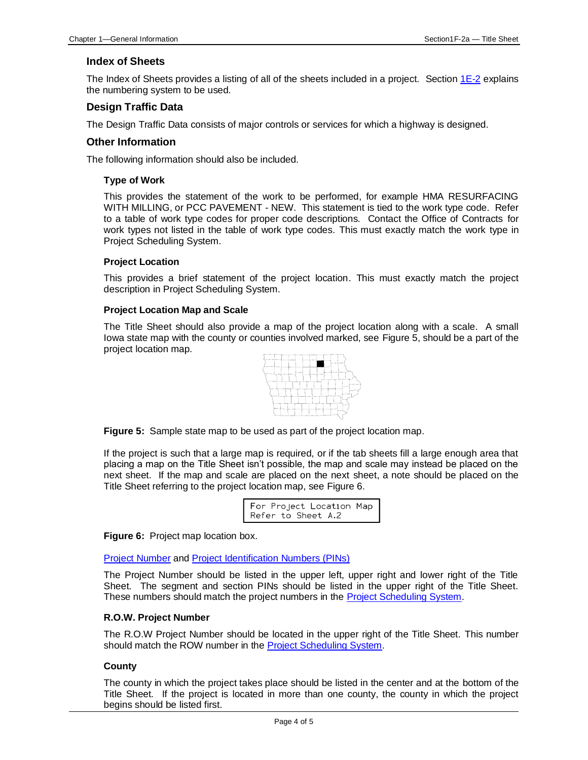#### **Index of Sheets**

The Index of Sheets provides a listing of all of the sheets included in a project. Section  $1E-2$  explains the numbering system to be used.

#### **Design Traffic Data**

The Design Traffic Data consists of major controls or services for which a highway is designed.

#### **Other Information**

The following information should also be included.

#### **Type of Work**

This provides the statement of the work to be performed, for example HMA RESURFACING WITH MILLING, or PCC PAVEMENT - NEW. This statement is tied to the work type code. Refer to a table of work type codes for proper code descriptions. Contact the Office of Contracts for work types not listed in the table of work type codes. This must exactly match the work type in Project Scheduling System.

#### **Project Location**

This provides a brief statement of the project location. This must exactly match the project description in Project Scheduling System.

#### **Project Location Map and Scale**

The Title Sheet should also provide a map of the project location along with a scale. A small Iowa state map with the county or counties involved marked, see Figure 5, should be a part of the project location map.



**Figure 5:** Sample state map to be used as part of the project location map.

If the project is such that a large map is required, or if the tab sheets fill a large enough area that placing a map on the Title Sheet isn't possible, the map and scale may instead be placed on the next sheet. If the map and scale are placed on the next sheet, a note should be placed on the Title Sheet referring to the project location map, see Figure 6.

| For Project Location Map |  |
|--------------------------|--|
| Refer to Sheet A.2       |  |

**Figure 6:** Project map location box.

[Project Number](01b-01/ProjectNumber.pdf) and [Project Identification Numbers \(PINs\)](01b-01/PIN.pdf)

The Project Number should be listed in the upper left, upper right and lower right of the Title Sheet. The segment and section PINs should be listed in the upper right of the Title Sheet. These numbers should match the project numbers in the **Project Scheduling System**.

#### **R.O.W. Project Number**

The R.O.W Project Number should be located in the upper right of the Title Sheet. This number should match the ROW number in the [Project Scheduling System.](01b-01/PSS.pdf)

#### **County**

The county in which the project takes place should be listed in the center and at the bottom of the Title Sheet. If the project is located in more than one county, the county in which the project begins should be listed first.